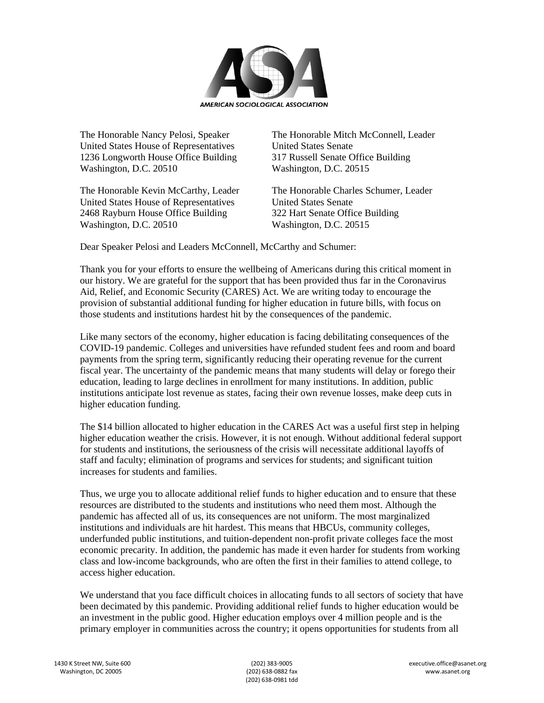

United States House of Representatives United States Senate 1236 Longworth House Office Building 317 Russell Senate Office Building Washington, D.C. 20510 Washington, D.C. 20515

United States House of Representatives United States Senate 2468 Rayburn House Office Building 322 Hart Senate Office Building Washington, D.C. 20510 Washington, D.C. 20515

The Honorable Nancy Pelosi, Speaker The Honorable Mitch McConnell, Leader

The Honorable Kevin McCarthy, Leader The Honorable Charles Schumer, Leader

Dear Speaker Pelosi and Leaders McConnell, McCarthy and Schumer:

Thank you for your efforts to ensure the wellbeing of Americans during this critical moment in our history. We are grateful for the support that has been provided thus far in the Coronavirus Aid, Relief, and Economic Security (CARES) Act. We are writing today to encourage the provision of substantial additional funding for higher education in future bills, with focus on those students and institutions hardest hit by the consequences of the pandemic.

Like many sectors of the economy, higher education is facing debilitating consequences of the COVID-19 pandemic. Colleges and universities have refunded student fees and room and board payments from the spring term, significantly reducing their operating revenue for the current fiscal year. The uncertainty of the pandemic means that many students will delay or forego their education, leading to large declines in enrollment for many institutions. In addition, public institutions anticipate lost revenue as states, facing their own revenue losses, make deep cuts in higher education funding.

The \$14 billion allocated to higher education in the CARES Act was a useful first step in helping higher education weather the crisis. However, it is not enough. Without additional federal support for students and institutions, the seriousness of the crisis will necessitate additional layoffs of staff and faculty; elimination of programs and services for students; and significant tuition increases for students and families.

Thus, we urge you to allocate additional relief funds to higher education and to ensure that these resources are distributed to the students and institutions who need them most. Although the pandemic has affected all of us, its consequences are not uniform. The most marginalized institutions and individuals are hit hardest. This means that HBCUs, community colleges, underfunded public institutions, and tuition-dependent non-profit private colleges face the most economic precarity. In addition, the pandemic has made it even harder for students from working class and low-income backgrounds, who are often the first in their families to attend college, to access higher education.

We understand that you face difficult choices in allocating funds to all sectors of society that have been decimated by this pandemic. Providing additional relief funds to higher education would be an investment in the public good. Higher education employs over 4 million people and is the primary employer in communities across the country; it opens opportunities for students from all